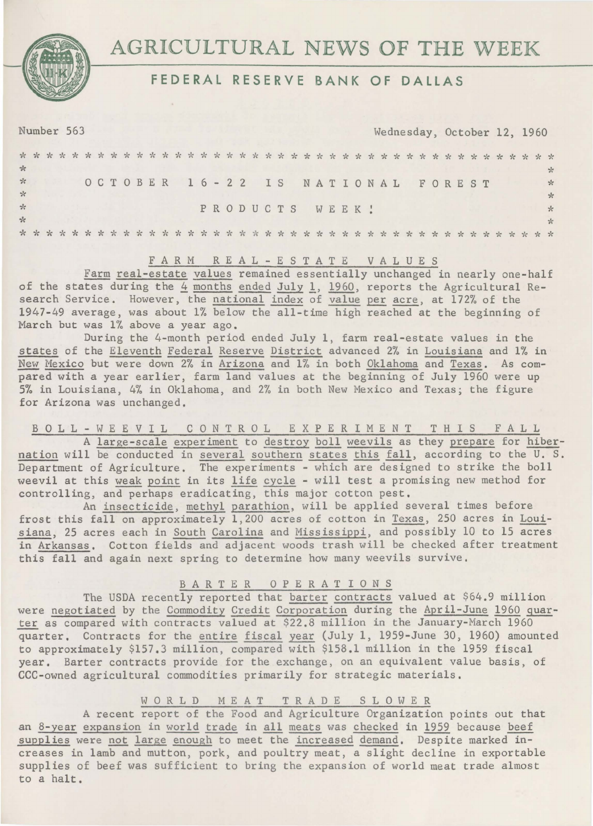

# $AGRICULTURAL$  NEWS OF THE WEEK

# FEDERAL RESERVE BANK OF DALLAS

Number 563 Wednesday, October 12, 1960

| $\frac{1}{2}$  |  |  |  |  |  |                                  |  |  |  |  |  |  |                |  |  |  |  |  |  |  |  |              |
|----------------|--|--|--|--|--|----------------------------------|--|--|--|--|--|--|----------------|--|--|--|--|--|--|--|--|--------------|
| $\frac{1}{2}$  |  |  |  |  |  | OCTOBER 16-22 IS NATIONAL FOREST |  |  |  |  |  |  |                |  |  |  |  |  |  |  |  | $\mathbf{x}$ |
| $\star$        |  |  |  |  |  |                                  |  |  |  |  |  |  |                |  |  |  |  |  |  |  |  |              |
| $\frac{d}{dx}$ |  |  |  |  |  |                                  |  |  |  |  |  |  | PRODUCTS WEEK! |  |  |  |  |  |  |  |  |              |
| $\frac{1}{2}$  |  |  |  |  |  |                                  |  |  |  |  |  |  |                |  |  |  |  |  |  |  |  |              |
|                |  |  |  |  |  |                                  |  |  |  |  |  |  |                |  |  |  |  |  |  |  |  |              |

#### F A R M R E A L - E S T A T E V A L U E S

Farm real-estate values remained essentially unchanged in nearly one-half of the states during the 4 months ended July 1, 1960, reports the Agricultural Research Service. However, the national index of value per acre, at 172% of the 1947-49 average, was about 1% below the all-time high reached at the beginning of March but was 1% above a year ago.

During the 4-month period ended July 1, farm real-estate values in the states of the Eleventh Federal Reserve District advanced 2% in Louisiana and 1% in New Mexico but were down 2% in Arizona and 1% in both Oklahoma and Texas. As compared with a year earlier, farm land values at the beginning of July 1960 were up 5% in Louisiana, 4% in Oklahoma, and 2% in both New Mexico and Texas; the figure for Arizona was unchanged.

B 0 L L - W E E V I L C 0 N T R 0 L EXPERIMENT T H I S F A L L A large-scale experiment to destroy boll weevils as they prepare for hibernation will be conducted in several southern states this fall, according to the U. S. Department of Agriculture. The experiments - which are designed to strike the boll weevil at this weak point in its life cycle - will test a promising new method for controlling, and perhaps eradicating, this major cotton pest.

An insecticide, methyl parathion, will be applied several times before frost this fall on approximately 1,200 acres of cotton in Texas, 250 acres in Louisiana, 25 acres each in South Carolina and Mississippi, and possibly 10 to 15 acres in Arkansas. Cotton fields and adjacent woods trash will be checked after treatment this fall and again next spring to determine how many weevils survive,

## B A R T E R 0 P E R A T I 0 N S

The USDA recently reported that barter contracts valued at \$64.9 million were negotiated by the Commodity Credit Corporation during the April-June 1960 quarter as compared with contracts valued at \$22.8 million in the January-March 1960 quarter, Contracts for the entire fiscal year (July 1, 1959-June 30, 1960) amounted to approximately \$157.3 million, compared with \$158.l million in the 1959 fiscal year. Barter contracts provide for the exchange, on an equivalent value basis, of CCC-owned agricultural commodities primarily for strategic materials,

## W 0 R L D MEAT T R A D E SLOWER

A recent report of the Food and Agriculture Organization points out that an 8-year expansion in world trade in all meats was checked in 1959 because beef supplies were not large enough to meet the increased demand. Despite marked increases in lamb and mutton, pork, and poultry meat, a slight decline in exportable supplies of beef was sufficient to bring the expansion of world meat trade almost to a halt.